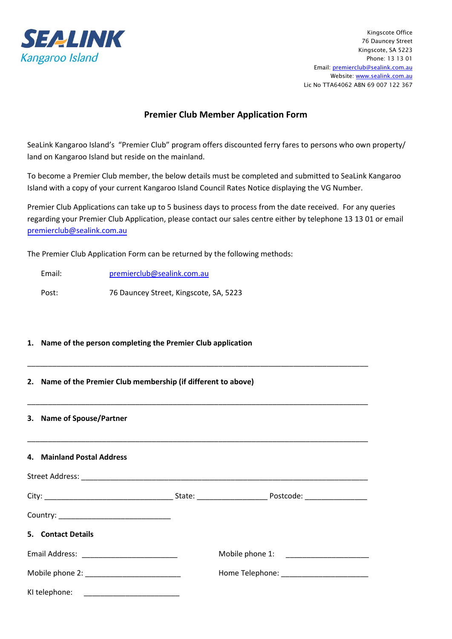

## **Premier Club Member Application Form**

SeaLink Kangaroo Island's "Premier Club" program offers discounted ferry fares to persons who own property/ land on Kangaroo Island but reside on the mainland.

To become a Premier Club member, the below details must be completed and submitted to SeaLink Kangaroo Island with a copy of your current Kangaroo Island Council Rates Notice displaying the VG Number.

Premier Club Applications can take up to 5 business days to process from the date received. For any queries regarding your Premier Club Application, please contact our sales centre either by telephone 13 13 01 or email prem[ierclub@sealink.com.au](mailto:premierclub@sealink.com.au)

The Premier Club Application Form can be returned by the following methods:

Email: [premierclub@sealink.com.au](mailto:premierclub@sealink.com.au) Post: 76 Dauncey Street, Kingscote, SA, 5223

## **1. Name of the person completing the Premier Club application**

## **2. Name of the Premier Club membership (if different to above)**

#### **3. Name of Spouse/Partner**

#### **4. Mainland Postal Address**

| 5. Contact Details |  |  |
|--------------------|--|--|
|                    |  |  |
|                    |  |  |
| KI telephone:      |  |  |

\_\_\_\_\_\_\_\_\_\_\_\_\_\_\_\_\_\_\_\_\_\_\_\_\_\_\_\_\_\_\_\_\_\_\_\_\_\_\_\_\_\_\_\_\_\_\_\_\_\_\_\_\_\_\_\_\_\_\_\_\_\_\_\_\_\_\_\_\_\_\_\_\_\_\_\_\_\_\_\_\_\_

\_\_\_\_\_\_\_\_\_\_\_\_\_\_\_\_\_\_\_\_\_\_\_\_\_\_\_\_\_\_\_\_\_\_\_\_\_\_\_\_\_\_\_\_\_\_\_\_\_\_\_\_\_\_\_\_\_\_\_\_\_\_\_\_\_\_\_\_\_\_\_\_\_\_\_\_\_\_\_\_\_\_

\_\_\_\_\_\_\_\_\_\_\_\_\_\_\_\_\_\_\_\_\_\_\_\_\_\_\_\_\_\_\_\_\_\_\_\_\_\_\_\_\_\_\_\_\_\_\_\_\_\_\_\_\_\_\_\_\_\_\_\_\_\_\_\_\_\_\_\_\_\_\_\_\_\_\_\_\_\_\_\_\_\_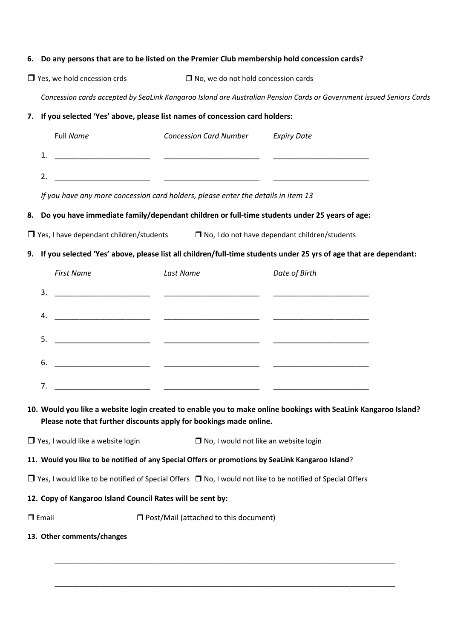#### **6. Do any persons that are to be listed on the Premier Club membership hold concession cards?**

 $\Box$  Yes, we hold cncession crds  $\Box$  No, we do not hold concession cards

*Concession cards accepted by SeaLink Kangaroo Island are Australian Pension Cards or Government issued Seniors Cards*

#### **7. If you selected 'Yes' above, please list names of concession card holders:**

|         | Full Name | <b>Concession Card Number</b> | <b>Expiry Date</b> |
|---------|-----------|-------------------------------|--------------------|
| 1<br>ᆠ. |           |                               |                    |
| 2.      |           |                               |                    |

*If you have any more concession card holders, please enter the details in item 13*

#### **8. Do you have immediate family/dependant children or full-time students under 25 years of age:**

 $\Box$  Yes, I have dependant children/students  $\Box$  No, I do not have dependant children/students

#### **9. If you selected 'Yes' above, please list all children/full-time students under 25 yrs of age that are dependant:**

|    | <b>First Name</b>                                                                                                   | Last Name | Date of Birth |
|----|---------------------------------------------------------------------------------------------------------------------|-----------|---------------|
| 3. | <u> 1990 - Johann John Stone, mars et al. (</u> † 1920)                                                             |           |               |
| 4. | <u> 1980 - Johann John Stone, mars eta industrial eta industrial eta industrial eta industrial eta industrial e</u> |           |               |
| 5. |                                                                                                                     |           |               |
| 6. |                                                                                                                     |           |               |
| 7. |                                                                                                                     |           |               |

## **10. Would you like a website login created to enable you to make online bookings with SeaLink Kangaroo Island? Please note that further discounts apply for bookings made online.**

\_\_\_\_\_\_\_\_\_\_\_\_\_\_\_\_\_\_\_\_\_\_\_\_\_\_\_\_\_\_\_\_\_\_\_\_\_\_\_\_\_\_\_\_\_\_\_\_\_\_\_\_\_\_\_\_\_\_\_\_\_\_\_\_\_\_\_\_\_\_\_\_\_\_\_\_\_\_\_\_\_\_

\_\_\_\_\_\_\_\_\_\_\_\_\_\_\_\_\_\_\_\_\_\_\_\_\_\_\_\_\_\_\_\_\_\_\_\_\_\_\_\_\_\_\_\_\_\_\_\_\_\_\_\_\_\_\_\_\_\_\_\_\_\_\_\_\_\_\_\_\_\_\_\_\_\_\_\_\_\_\_\_\_\_

 $\Box$  Yes, I would like a website login  $\Box$  No, I would not like an website login

#### **11. Would you like to be notified of any Special Offers or promotions by SeaLink Kangaroo Island**?

 $\Box$  Yes, I would like to be notified of Special Offers  $\Box$  No, I would not like to be notified of Special Offers

#### **12. Copy of Kangaroo Island Council Rates will be sent by:**

- $\square$  Email  $\square$  Post/Mail (attached to this document)
- **13. Other comments/changes**